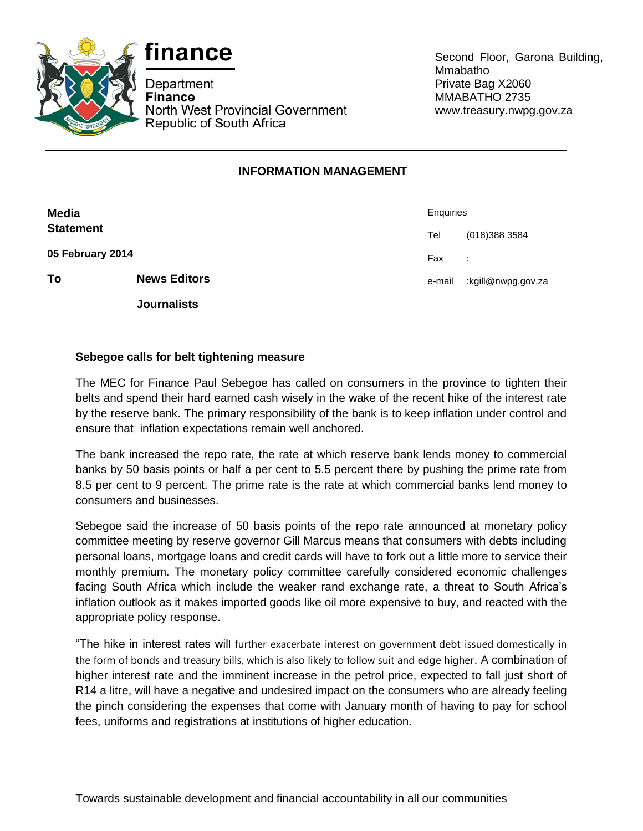



Department **Finance** North West Provincial Government Republic of South Africa

Second Floor, Garona Building, Mmabatho Private Bag X2060 MMABATHO 2735 www.treasury.nwpg.gov.za

## **INFORMATION MANAGEMENT**

| Media<br><b>Statement</b> |                     | Enquiries |                    |
|---------------------------|---------------------|-----------|--------------------|
|                           |                     | Tel       | (018) 388 3584     |
| 05 February 2014          |                     | Fax       | ÷                  |
| To                        | <b>News Editors</b> | e-mail    | kgill@nwpg.gov.za: |
|                           | <b>Journalists</b>  |           |                    |

## **Sebegoe calls for belt tightening measure**

The MEC for Finance Paul Sebegoe has called on consumers in the province to tighten their belts and spend their hard earned cash wisely in the wake of the recent hike of the interest rate by the reserve bank. The primary responsibility of the bank is to keep inflation under control and ensure that inflation expectations remain well anchored.

The bank increased the repo rate, the rate at which reserve bank lends money to commercial banks by 50 basis points or half a per cent to 5.5 percent there by pushing the prime rate from 8.5 per cent to 9 percent. The prime rate is the rate at which commercial banks lend money to consumers and businesses.

Sebegoe said the increase of 50 basis points of the repo rate announced at monetary policy committee meeting by reserve governor Gill Marcus means that consumers with debts including personal loans, mortgage loans and credit cards will have to fork out a little more to service their monthly premium. The monetary policy committee carefully considered economic challenges facing South Africa which include the weaker rand exchange rate, a threat to South Africa's inflation outlook as it makes imported goods like oil more expensive to buy, and reacted with the appropriate policy response.

"The hike in interest rates will further exacerbate interest on government debt issued domestically in the form of bonds and treasury bills, which is also likely to follow suit and edge higher. A combination of higher interest rate and the imminent increase in the petrol price, expected to fall just short of R14 a litre, will have a negative and undesired impact on the consumers who are already feeling the pinch considering the expenses that come with January month of having to pay for school fees, uniforms and registrations at institutions of higher education.